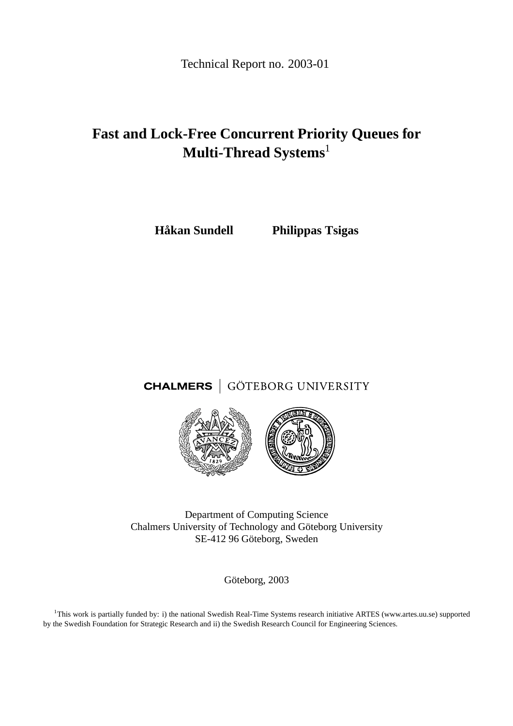Technical Report no. 2003-01

# **Fast and Lock-Free Concurrent Priority Queues for Multi-Thread Systems**<sup>1</sup>

**Håkan Sundell Philippas Tsigas**

## **CHALMERS** | GÖTEBORG UNIVERSITY



Department of Computing Science Chalmers University of Technology and Göteborg University SE-412 96 Göteborg, Sweden

Göteborg, 2003

<sup>1</sup>This work is partially funded by: i) the national Swedish Real-Time Systems research initiative ARTES (www.artes.uu.se) supported by the Swedish Foundation for Strategic Research and ii) the Swedish Research Council for Engineering Sciences.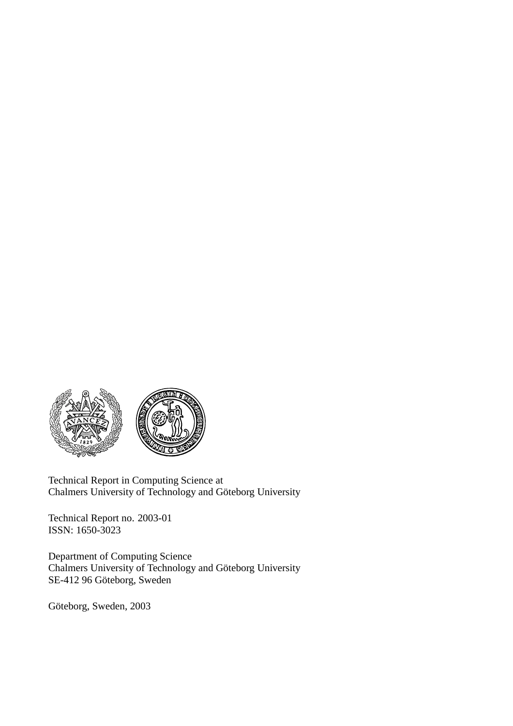

Technical Report in Computing Science at Chalmers University of Technology and Göteborg University

Technical Report no. 2003-01 ISSN: 1650-3023

Department of Computing Science Chalmers University of Technology and Göteborg University SE-412 96 Göteborg, Sweden

Göteborg, Sweden, 2003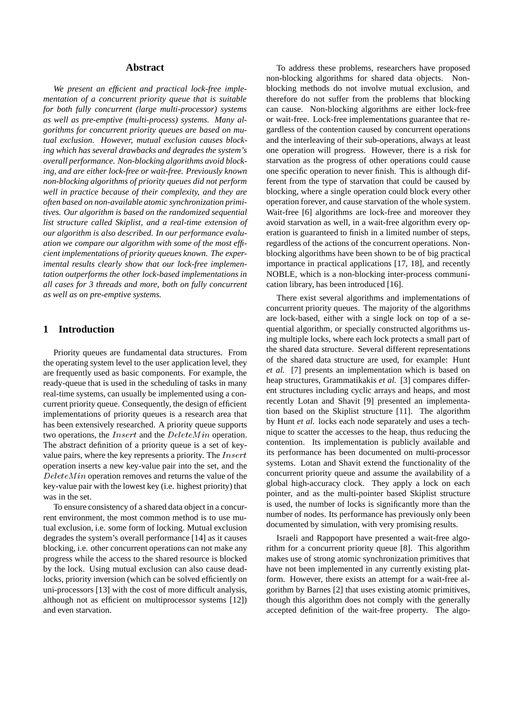#### **Abstract**

*We present an efficient and practical lock-free implementation of a concurrent priority queue that is suitable for both fully concurrent (large multi-processor) systems as well as pre-emptive (multi-process) systems. Many algorithms for concurrent priority queues are based on mutual exclusion. However, mutual exclusion causes blocking which has several drawbacks and degrades the system's overall performance. Non-blocking algorithms avoid blocking, and are either lock-free or wait-free. Previously known non-blocking algorithms of priority queues did not perform well in practice because of their complexity, and they are often based on non-available atomic synchronization primitives. Our algorithm is based on the randomized sequential list structure called Skiplist, and a real-time extension of our algorithm is also described. In our performance evaluation we compare our algorithm with some of the most efficient implementations of priority queues known. The experimental results clearly show that our lock-free implementation outperforms the other lock-based implementations in all cases for 3 threads and more, both on fully concurrent as well as on pre-emptive systems.*

## **1 Introduction**

Priority queues are fundamental data structures. From the operating system level to the user application level, they are frequently used as basic components. For example, the ready-queue that is used in the scheduling of tasks in many real-time systems, can usually be implemented using a concurrent priority queue. Consequently, the design of efficient implementations of priority queues is a research area that has been extensively researched. A priority queue supports two operations, the *Insert* and the *DeleteMin* operation. The abstract definition of a priority queue is a set of keyvalue pairs, where the key represents a priority. The Insert operation inserts a new key-value pair into the set, and the DeleteM in operation removes and returns the value of the key-value pair with the lowest key (i.e. highest priority) that was in the set.

To ensure consistency of a shared data object in a concurrent environment, the most common method is to use mutual exclusion, i.e. some form of locking. Mutual exclusion degrades the system's overall performance [14] as it causes blocking, i.e. other concurrent operations can not make any progress while the access to the shared resource is blocked by the lock. Using mutual exclusion can also cause deadlocks, priority inversion (which can be solved efficiently on uni-processors [13] with the cost of more difficult analysis, although not as efficient on multiprocessor systems [12]) and even starvation.

To address these problems, researchers have proposed non-blocking algorithms for shared data objects. Nonblocking methods do not involve mutual exclusion, and therefore do not suffer from the problems that blocking can cause. Non-blocking algorithms are either lock-free or wait-free. Lock-free implementations guarantee that regardless of the contention caused by concurrent operations and the interleaving of their sub-operations, always at least one operation will progress. However, there is a risk for starvation as the progress of other operations could cause one specific operation to never finish. This is although different from the type of starvation that could be caused by blocking, where a single operation could block every other operation forever, and cause starvation of the whole system. Wait-free [6] algorithms are lock-free and moreover they avoid starvation as well, in a wait-free algorithm every operation is guaranteed to finish in a limited number of steps, regardless of the actions of the concurrent operations. Nonblocking algorithms have been shown to be of big practical importance in practical applications [17, 18], and recently NOBLE, which is a non-blocking inter-process communication library, has been introduced [16].

There exist several algorithms and implementations of concurrent priority queues. The majority of the algorithms are lock-based, either with a single lock on top of a sequential algorithm, or specially constructed algorithms using multiple locks, where each lock protects a small part of the shared data structure. Several different representations of the shared data structure are used, for example: Hunt *et al.* [7] presents an implementation which is based on heap structures, Grammatikakis *et al.* [3] compares different structures including cyclic arrays and heaps, and most recently Lotan and Shavit [9] presented an implementation based on the Skiplist structure [11]. The algorithm by Hunt *et al.* locks each node separately and uses a technique to scatter the accesses to the heap, thus reducing the contention. Its implementation is publicly available and its performance has been documented on multi-processor systems. Lotan and Shavit extend the functionality of the concurrent priority queue and assume the availability of a global high-accuracy clock. They apply a lock on each pointer, and as the multi-pointer based Skiplist structure is used, the number of locks is significantly more than the number of nodes. Its performance has previously only been documented by simulation, with very promising results.

Israeli and Rappoport have presented a wait-free algorithm for a concurrent priority queue [8]. This algorithm makes use of strong atomic synchronization primitives that have not been implemented in any currently existing platform. However, there exists an attempt for a wait-free algorithm by Barnes [2] that uses existing atomic primitives, though this algorithm does not comply with the generally accepted definition of the wait-free property. The algo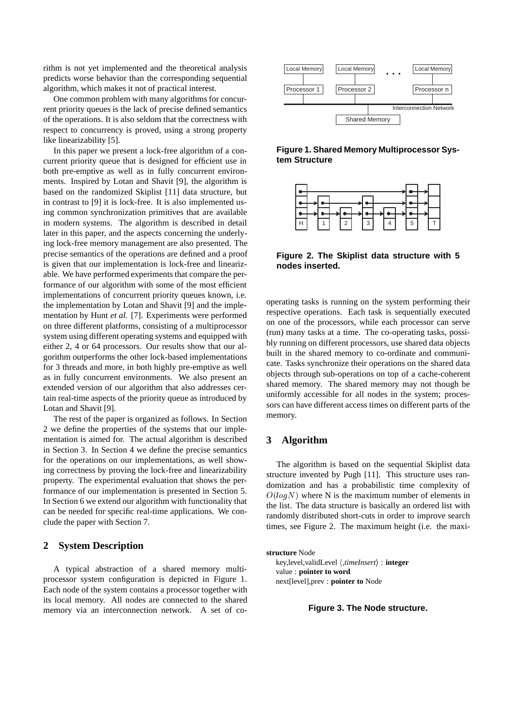rithm is not yet implemented and the theoretical analysis predicts worse behavior than the corresponding sequential algorithm, which makes it not of practical interest.

One common problem with many algorithms for concurrent priority queues is the lack of precise defined semantics of the operations. It is also seldom that the correctness with respect to concurrency is proved, using a strong property like linearizability [5].

In this paper we present a lock-free algorithm of a concurrent priority queue that is designed for efficient use in both pre-emptive as well as in fully concurrent environments. Inspired by Lotan and Shavit [9], the algorithm is based on the randomized Skiplist [11] data structure, but in contrast to [9] it is lock-free. It is also implemented using common synchronization primitives that are available in modern systems. The algorithm is described in detail later in this paper, and the aspects concerning the underlying lock-free memory management are also presented. The precise semantics of the operations are defined and a proof is given that our implementation is lock-free and linearizable. We have performed experiments that compare the performance of our algorithm with some of the most efficient implementations of concurrent priority queues known, i.e. the implementation by Lotan and Shavit [9] and the implementation by Hunt *et al.* [7]. Experiments were performed on three different platforms, consisting of a multiprocessor system using different operating systems and equipped with either 2, 4 or 64 processors. Our results show that our algorithm outperforms the other lock-based implementations for 3 threads and more, in both highly pre-emptive as well as in fully concurrent environments. We also present an extended version of our algorithm that also addresses certain real-time aspects of the priority queue as introduced by Lotan and Shavit [9].

The rest of the paper is organized as follows. In Section 2 we define the properties of the systems that our implementation is aimed for. The actual algorithm is described in Section 3. In Section 4 we define the precise semantics for the operations on our implementations, as well showing correctness by proving the lock-free and linearizability property. The experimental evaluation that shows the performance of our implementation is presented in Section 5. In Section 6 we extend our algorithm with functionality that can be needed for specific real-time applications. We conclude the paper with Section 7.

## **2 System Description**

A typical abstraction of a shared memory multiprocessor system configuration is depicted in Figure 1. Each node of the system contains a processor together with its local memory. All nodes are connected to the shared memory via an interconnection network. A set of co-



**Figure 1. Shared Memory Multiprocessor System Structure**



**Figure 2. The Skiplist data structure with 5 nodes inserted.**

operating tasks is running on the system performing their respective operations. Each task is sequentially executed on one of the processors, while each processor can serve (run) many tasks at a time. The co-operating tasks, possibly running on different processors, use shared data objects built in the shared memory to co-ordinate and communicate. Tasks synchronize their operations on the shared data objects through sub-operations on top of a cache-coherent shared memory. The shared memory may not though be uniformly accessible for all nodes in the system; processors can have different access times on different parts of the memory.

## **3 Algorithm**

The algorithm is based on the sequential Skiplist data structure invented by Pugh [11]. This structure uses randomization and has a probabilistic time complexity of  $O(logN)$  where N is the maximum number of elements in the list. The data structure is basically an ordered list with randomly distributed short-cuts in order to improve search times, see Figure 2. The maximum height (i.e. the maxi-

#### **structure** Node

key,level,validLevel  $\langle$ ,timeInsert $\rangle$  : **integer** value : **pointer to word** next[level],prev : **pointer to** Node

**Figure 3. The Node structure.**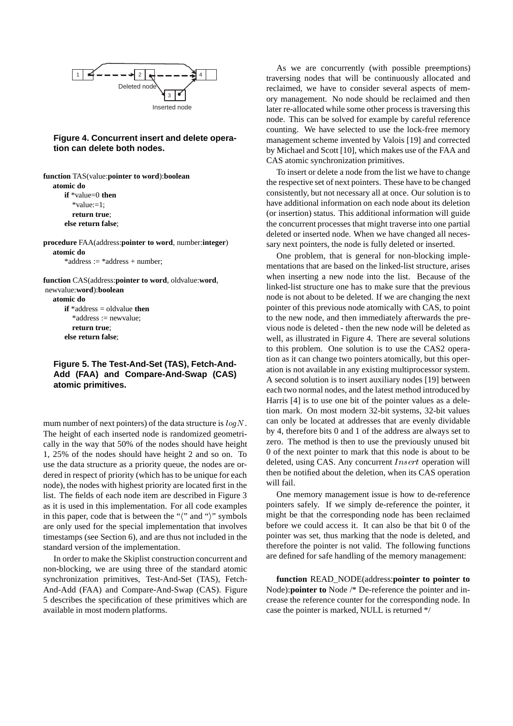

#### **Figure 4. Concurrent insert and delete operation can delete both nodes.**

**function** TAS(value:**pointer to word**):**boolean atomic do if** \*value=0 **then**  $*$ value: $=1$ ; **return true**; **else return false**;

**procedure** FAA(address:**pointer to word**, number:**integer**) **atomic do**

 $*$ address :=  $*$ address + number;

**function** CAS(address:**pointer to word**, oldvalue:**word**, newvalue:**word**):**boolean atomic do**

> **if** \*address = oldvalue **then** \*address := newvalue; **return true**; **else return false**;

## **Figure 5. The Test-And-Set (TAS), Fetch-And-Add (FAA) and Compare-And-Swap (CAS) atomic primitives.**

mum number of next pointers) of the data structure is  $log N$ . The height of each inserted node is randomized geometrically in the way that 50% of the nodes should have height 1, 25% of the nodes should have height 2 and so on. To use the data structure as a priority queue, the nodes are ordered in respect of priority (which has to be unique for each node), the nodes with highest priority are located first in the list. The fields of each node item are described in Figure 3 as it is used in this implementation. For all code examples in this paper, code that is between the " $\langle$ " and " $\rangle$ " symbols are only used for the special implementation that involves timestamps (see Section 6), and are thus not included in the standard version of the implementation.

In order to make the Skiplist construction concurrent and non-blocking, we are using three of the standard atomic synchronization primitives, Test-And-Set (TAS), Fetch-And-Add (FAA) and Compare-And-Swap (CAS). Figure 5 describes the specification of these primitives which are available in most modern platforms.

As we are concurrently (with possible preemptions) traversing nodes that will be continuously allocated and reclaimed, we have to consider several aspects of memory management. No node should be reclaimed and then later re-allocated while some other process is traversing this node. This can be solved for example by careful reference counting. We have selected to use the lock-free memory management scheme invented by Valois [19] and corrected by Michael and Scott [10], which makes use of the FAA and CAS atomic synchronization primitives.

To insert or delete a node from the list we have to change the respective set of next pointers. These have to be changed consistently, but not necessary all at once. Our solution is to have additional information on each node about its deletion (or insertion) status. This additional information will guide the concurrent processes that might traverse into one partial deleted or inserted node. When we have changed all necessary next pointers, the node is fully deleted or inserted.

One problem, that is general for non-blocking implementations that are based on the linked-list structure, arises when inserting a new node into the list. Because of the linked-list structure one has to make sure that the previous node is not about to be deleted. If we are changing the next pointer of this previous node atomically with CAS, to point to the new node, and then immediately afterwards the previous node is deleted - then the new node will be deleted as well, as illustrated in Figure 4. There are several solutions to this problem. One solution is to use the CAS2 operation as it can change two pointers atomically, but this operation is not available in any existing multiprocessor system. A second solution is to insert auxiliary nodes [19] between each two normal nodes, and the latest method introduced by Harris [4] is to use one bit of the pointer values as a deletion mark. On most modern 32-bit systems, 32-bit values can only be located at addresses that are evenly dividable by 4, therefore bits 0 and 1 of the address are always set to zero. The method is then to use the previously unused bit 0 of the next pointer to mark that this node is about to be deleted, using CAS. Any concurrent Insert operation will then be notified about the deletion, when its CAS operation will fail.

One memory management issue is how to de-reference pointers safely. If we simply de-reference the pointer, it might be that the corresponding node has been reclaimed before we could access it. It can also be that bit 0 of the pointer was set, thus marking that the node is deleted, and therefore the pointer is not valid. The following functions are defined for safe handling of the memory management:

**function** READ\_NODE(address:**pointer to pointer to** Node):**pointer to** Node /\* De-reference the pointer and increase the reference counter for the corresponding node. In case the pointer is marked, NULL is returned \*/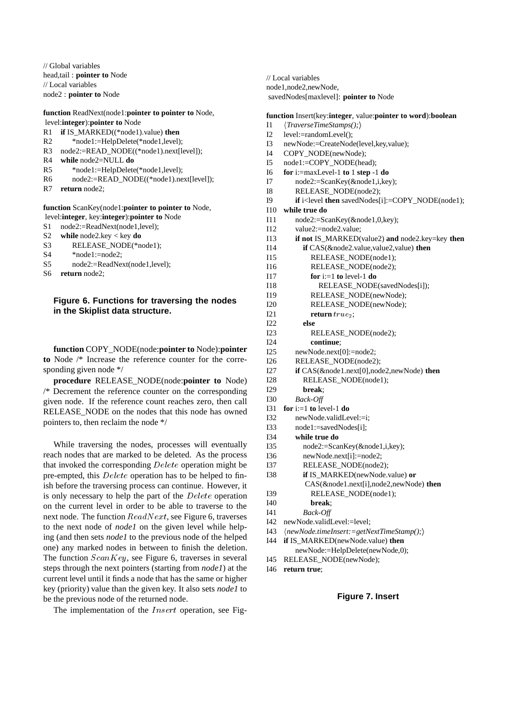// Global variables head,tail : **pointer to** Node // Local variables node2 : **pointer to** Node

## **function** ReadNext(node1:**pointer to pointer to** Node, level:**integer**):**pointer to** Node

- R1 **if** IS\_MARKED((\*node1).value) **then**
- R2 \* node1:=HelpDelete(\*node1,level);
- R3 node2:=READ\_NODE((\*node1).next[level]);
- R4 **while** node2=NULL **do**
- R5 \*node1:=HelpDelete(\*node1,level);
- R6 node2:=READ\_NODE((\*node1).next[level]);
- R7 **return** node2;

#### **function** ScanKey(node1:**pointer to pointer to** Node, level:**integer**, key:**integer**):**pointer to** Node

- S1 node2:=ReadNext(node1,level);
- S2 **while** node2.key < key **do**
- S3 RELEASE\_NODE(\*node1);
- S4 \*node1:=node2:
- S5 node2:=ReadNext(node1,level);
- S6 **return** node2;

## **Figure 6. Functions for traversing the nodes in the Skiplist data structure.**

**function** COPY\_NODE(node:**pointer to** Node):**pointer to** Node /\* Increase the reference counter for the corresponding given node \*/

**procedure** RELEASE\_NODE(node:**pointer to** Node) /\* Decrement the reference counter on the corresponding given node. If the reference count reaches zero, then call RELEASE\_NODE on the nodes that this node has owned pointers to, then reclaim the node \*/

While traversing the nodes, processes will eventually reach nodes that are marked to be deleted. As the process that invoked the corresponding Delete operation might be pre-empted, this Delete operation has to be helped to finish before the traversing process can continue. However, it is only necessary to help the part of the Delete operation on the current level in order to be able to traverse to the next node. The function  $ReadNext$ , see Figure 6, traverses to the next node of *node1* on the given level while helping (and then sets *node1* to the previous node of the helped one) any marked nodes in between to finish the deletion. The function  $ScanKey$ , see Figure 6, traverses in several steps through the next pointers (starting from *node1*) at the current level until it finds a node that has the same or higher key (priority) value than the given key. It also sets *node1* to be the previous node of the returned node.

The implementation of the *Insert* operation, see Fig-

// Local variables node1,node2,newNode, savedNodes[maxlevel]: **pointer to** Node

#### **function** Insert(key:**integer**, value:**pointer to word**):**boolean**

- I1 <sup>h</sup>*TraverseTimeStamps();*<sup>i</sup>
- I2 level:=randomLevel();
- I3 newNode:=CreateNode(level,key,value);
- I4 COPY\_NODE(newNode);
- I5 node1:=COPY\_NODE(head);
- I6 **for** i:=maxLevel-1 **to** 1 **step** -1 **do**
- I7 node2:=ScanKey(&node1,i,key);
- I8 RELEASE\_NODE(node2);
- I9 **if** i<level **then** savedNodes[i]:=COPY\_NODE(node1);
- I10 **while true do**
- I11 node2:=ScanKey(&node1,0,key);
- I12 value2:=node2.value;
- I13 **if not** IS\_MARKED(value2) **and** node2.key=key **then**
- I14 **if** CAS(&node2.value,value2,value) **then**
- I15 RELEASE\_NODE(node1);
- I16 RELEASE\_NODE(node2);
- I17 **for** i:=1 **to** level-1 **do**
- I18 RELEASE\_NODE(savedNodes[i]);
- I19 RELEASE\_NODE(newNode);
- I20 RELEASE\_NODE(newNode);
- I21 **return**  $true_2$ ;
- I22 **else**
- I23 RELEASE\_NODE(node2);
- I24 **continue**;
- I25 newNode.next[0]:=node2;
- I26 RELEASE\_NODE(node2);
- I27 **if** CAS(&node1.next[0],node2,newNode) **then**
- I28 RELEASE\_NODE(node1);
- I29 **break**;
- I30 *Back-Off*
- I31 **for** i:=1 **to** level-1 **do**
- I32 newNode.validLevel:=i;
- I33 node1:=savedNodes[i];
- I34 **while true do**
- I35 node2:=ScanKey(&node1,i,key);
- I36 newNode.next[i]:=node2;
- I37 RELEASE\_NODE(node2);
- I38 **if** IS\_MARKED(newNode.value) **or** CAS(&node1.next[i],node2,newNode) **then**
- I39 RELEASE\_NODE(node1);
- I40 **break**;
- I41 *Back-Off*
- I42 newNode.validLevel:=level;
- I43 <sup>h</sup>*newNode.timeInsert:=getNextTimeStamp();*<sup>i</sup>
- I44 **if** IS\_MARKED(newNode.value) **then** newNode:=HelpDelete(newNode,0);
- I45 RELEASE\_NODE(newNode);
- I46 **return true**;

**Figure 7. Insert**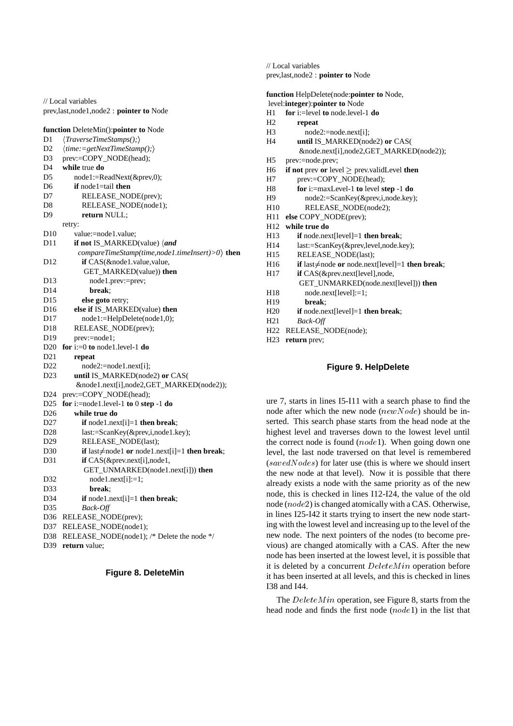// Local variables prev,last,node1,node2 : **pointer to** Node

**function** DeleteMin():**pointer to** Node D1  $\langle TraverseTimeStamps();\rangle$ D2  $\langle time:=getNextTimeStamp();\rangle$ D3 prev:=COPY\_NODE(head); D4 **while** true **do** D5 node1:=ReadNext(&prev,0); D6 **if** node1=tail **then** D7 RELEASE\_NODE(prev); D8 RELEASE\_NODE(node1); D9 **return** NULL; retry: D10 value:=node1.value; D11 **if not** IS\_MARKED(value) *\and compareTimeStamp(time,node1.timeInsert)>0*<sup>i</sup> **then** D12 **if** CAS(&node1.value,value, GET\_MARKED(value)) **then** D13 node1.prev:=prev; D14 **break**; D15 **else goto** retry; D16 **else if** IS\_MARKED(value) **then** D17 node1:=HelpDelete(node1,0); D18 RELEASE\_NODE(prev); D19 prev:=node1; D20 **for** i:=0 **to** node1.level-1 **do** D21 **repeat** D22 node2:=node1.next[i]; D23 **until** IS\_MARKED(node2) **or** CAS( &node1.next[i],node2,GET\_MARKED(node2)); D24 prev:=COPY\_NODE(head); D25 **for** i:=node1.level-1 **to** 0 **step** -1 **do** D26 **while true do** D27 **if** node1.next[i]=1 **then break**; D28 last:=ScanKey(&prev,i,node1.key); D29 RELEASE\_NODE(last); D30 **if** last $\neq$  node1 **or** node1.next[i]=1 **then break**; D31 **if** CAS(&prev.next[i],node1, GET\_UNMARKED(node1.next[i])) **then** D32 node1.next[i]:=1; D33 **break**; D34 **if** node1.next[i]=1 **then break**; D35 *Back-Off* D36 RELEASE\_NODE(prev); D37 RELEASE\_NODE(node1); D38 RELEASE\_NODE(node1); /\* Delete the node \*/ D39 **return** value;

#### **Figure 8. DeleteMin**

// Local variables prev,last,node2 : **pointer to** Node

**function** HelpDelete(node:**pointer to** Node, level:**integer**):**pointer to** Node H1 **for** i:=level **to** node.level-1 **do** H2 **repeat**

- H3 node2:=node.next[i];
- H4 **until** IS\_MARKED(node2) **or** CAS(
- &node.next[i],node2,GET\_MARKED(node2)); H5 prev:=node.prev;
- H6 **if not** prev **or** level  $\ge$  prev.validLevel **then**
- H7 prev:=COPY\_NODE(head);
- H8 **for** i:=maxLevel-1 **to** level **step** -1 **do**
- H9 node2:=ScanKey(&prev,i,node.key);
- H10 RELEASE\_NODE(node2);
- H11 **else** COPY\_NODE(prev);
- H12 **while true do**
- H13 **if** node.next[level]=1 **then break**;
- H14 last:=ScanKey(&prev,level,node.key);
- H15 RELEASE\_NODE(last);
- H16 **if** last≠node **or** node.next[level]=1 **then break**;
- H17 **if** CAS(&prev.next[level],node,
	- GET\_UNMARKED(node.next[level])) **then**
- H18 node.next[level]:=1;
- H19 **break**;
- H20 **if** node.next[level]=1 **then break**;
- H21 *Back-Off*
- H22 RELEASE\_NODE(node);
- H23 **return** prev;

## **Figure 9. HelpDelete**

ure 7, starts in lines I5-I11 with a search phase to find the node after which the new node  $(newNode)$  should be inserted. This search phase starts from the head node at the highest level and traverses down to the lowest level until the correct node is found  $(node1)$ . When going down one level, the last node traversed on that level is remembered  $(savedNodes)$  for later use (this is where we should insert the new node at that level). Now it is possible that there already exists a node with the same priority as of the new node, this is checked in lines I12-I24, the value of the old node (node<sup>2</sup>) is changed atomically with a CAS. Otherwise, in lines I25-I42 it starts trying to insert the new node starting with the lowest level and increasing up to the level of the new node. The next pointers of the nodes (to become previous) are changed atomically with a CAS. After the new node has been inserted at the lowest level, it is possible that it is deleted by a concurrent  $DeleteMin$  operation before it has been inserted at all levels, and this is checked in lines I38 and I44.

The  $DeleteMin$  operation, see Figure 8, starts from the head node and finds the first node (node<sup>1</sup>) in the list that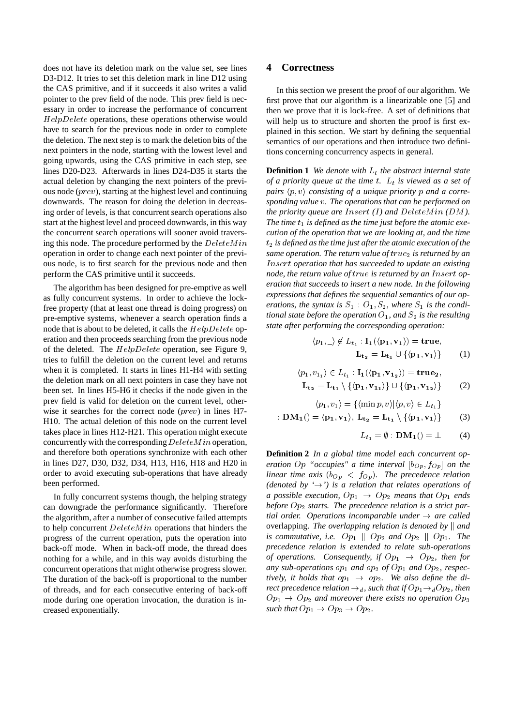does not have its deletion mark on the value set, see lines D3-D12. It tries to set this deletion mark in line D12 using the CAS primitive, and if it succeeds it also writes a valid pointer to the prev field of the node. This prev field is necessary in order to increase the performance of concurrent  $HelpDelete$  operations, these operations otherwise would have to search for the previous node in order to complete the deletion. The next step is to mark the deletion bits of the next pointers in the node, starting with the lowest level and going upwards, using the CAS primitive in each step, see lines D20-D23. Afterwards in lines D24-D35 it starts the actual deletion by changing the next pointers of the previous node (prev), starting at the highest level and continuing downwards. The reason for doing the deletion in decreasing order of levels, is that concurrent search operations also start at the highest level and proceed downwards, in this way the concurrent search operations will sooner avoid traversing this node. The procedure performed by the  $DeleteMin$ operation in order to change each next pointer of the previous node, is to first search for the previous node and then perform the CAS primitive until it succeeds.

The algorithm has been designed for pre-emptive as well as fully concurrent systems. In order to achieve the lockfree property (that at least one thread is doing progress) on pre-emptive systems, whenever a search operation finds a node that is about to be deleted, it calls the  $HelpDelete$  operation and then proceeds searching from the previous node of the deleted. The  $HelpDelete$  operation, see Figure 9, tries to fulfill the deletion on the current level and returns when it is completed. It starts in lines H1-H4 with setting the deletion mark on all next pointers in case they have not been set. In lines H5-H6 it checks if the node given in the prev field is valid for deletion on the current level, otherwise it searches for the correct node (prev) in lines H7- H10. The actual deletion of this node on the current level takes place in lines H12-H21. This operation might execute concurrently with the corresponding  $DeleteMin$  operation, and therefore both operations synchronize with each other in lines D27, D30, D32, D34, H13, H16, H18 and H20 in order to avoid executing sub-operations that have already been performed.

In fully concurrent systems though, the helping strategy can downgrade the performance significantly. Therefore the algorithm, after a number of consecutive failed attempts to help concurrent  $DeleteMin$  operations that hinders the progress of the current operation, puts the operation into back-off mode. When in back-off mode, the thread does nothing for a while, and in this way avoids disturbing the concurrent operations that might otherwise progress slower. The duration of the back-off is proportional to the number of threads, and for each consecutive entering of back-off mode during one operation invocation, the duration is increased exponentially.

## **4 Correctness**

In this section we present the proof of our algorithm. We first prove that our algorithm is a linearizable one [5] and then we prove that it is lock-free. A set of definitions that will help us to structure and shorten the proof is first explained in this section. We start by defining the sequential semantics of our operations and then introduce two definitions concerning concurrency aspects in general.

**Definition 1** *We denote with*  $L_t$  *the abstract internal state of a priority queue at the time t.*  $L_t$  *is viewed as a set of pairs*  $\langle p, v \rangle$  *consisting of a unique priority* p *and a corresponding value* <sup>v</sup>*. The operations that can be performed on the priority queue are*  $Insert (I)$  *and*  $DeleteMin (DM)$ *.* The time  $t_1$  is defined as the time just before the atomic exe*cution of the operation that we are looking at, and the time*  $t_2$  *is defined as the time just after the atomic execution of the same operation. The return value of true<sub>2</sub> is returned by an* Insert *operation that has succeeded to update an existing node, the return value of* true *is returned by an* Insert *operation that succeeds to insert a new node. In the following expressions that defines the sequential semantics of our operations, the syntax is*  $S_1$  :  $O_1$ ,  $S_2$ *, where*  $S_1$  *is the conditional state before the operation*  $O_1$ *, and*  $S_2$  *is the resulting state after performing the corresponding operation:*<br>  $\langle p_1, \_\rangle \notin L_{t_1} : I_1(\langle p_1, v_1 \rangle) = \textbf{true},$ 

$$
\langle p_1, \_\rangle \notin L_{t_1} : \mathbf{I}_1(\langle \mathbf{p}_1, \mathbf{v}_1 \rangle) = \mathbf{true},
$$

$$
\mathbf{L}_{t_2} = \mathbf{L}_{t_1} \cup \{ \langle \mathbf{p}_1, \mathbf{v}_1 \rangle \} \qquad (1)
$$

$$
\langle p_1, v_{1_1} \rangle \in L_{t_1} : \mathbf{I}_1(\langle \mathbf{p}_1, \mathbf{v}_{1_2} \rangle) = \mathbf{true}_2,
$$

$$
\langle p_1, v_{1_1} \rangle \in L_{t_1} : \mathbf{I}_1(\langle \mathbf{p}_1, \mathbf{v}_{1_2} \rangle) = \mathbf{true}_2,
$$
  

$$
\mathbf{L}_{t_2} = \mathbf{L}_{t_1} \setminus \{ \langle \mathbf{p}_1, \mathbf{v}_{1_1} \rangle \} \cup \{ \langle \mathbf{p}_1, \mathbf{v}_{1_2} \rangle \}
$$
 (2)  

$$
\langle p_1, v_1 \rangle = \{ \langle \min p, v \rangle | \langle p, v \rangle \in L_{t_1} \}
$$

$$
\langle p_1, v_1 \rangle = \{ \langle \min p, v \rangle | \langle p, v \rangle \in L_{t_1} \}
$$
  
:  $\mathbf{DM}_1() = \langle \mathbf{p}_1, \mathbf{v}_1 \rangle, \mathbf{L}_{\mathbf{t}_2} = \mathbf{L}_{\mathbf{t}_1} \setminus \{ \langle \mathbf{p}_1, \mathbf{v}_1 \rangle \}$  (3)

$$
L_{t_1} = \emptyset : \mathbf{DM_1}() = \bot \qquad (4)
$$

**Definition 2** *In a global time model each concurrent operation*  $Op$  "*occupies*" *a time interval*  $[b<sub>Op</sub>, f<sub>Op</sub>]$  *on the linear time axis* ( $b_{Op} < f_{Op}$ ). The precedence relation *(denoted by '* $\rightarrow$ *') is a relation that relates operations of a possible execution,*  $Op_1 \rightarrow Op_2$  *means that*  $Op_1$  *ends* before  $Op<sub>2</sub>$  *starts. The precedence relation is a strict partial order. Operations incomparable under*  $\rightarrow$  *are called* overlapping*. The overlapping relation is denoted by*  $\parallel$  *and is commutative, i.e.*  $Op_1 \parallel Op_2$  *and*  $Op_2 \parallel Op_1$ *. The precedence relation is extended to relate sub-operations of operations.* Consequently, if  $Op_1 \rightarrow Op_2$ , then for any sub-operations  $op_1$  and  $op_2$  of  $Op_1$  and  $Op_2$ , respec*tively, it holds that*  $op_1 \rightarrow op_2$ . We also define the di*rect precedence relation*  $\rightarrow_d$ *, such that if*  $Op_1 \rightarrow_d Op_2$ *, then*  $Op_1 \rightarrow Op_2$  and moreover there exists no operation  $Op_3$ *such that*  $Op_1 \rightarrow Op_3 \rightarrow Op_2$ .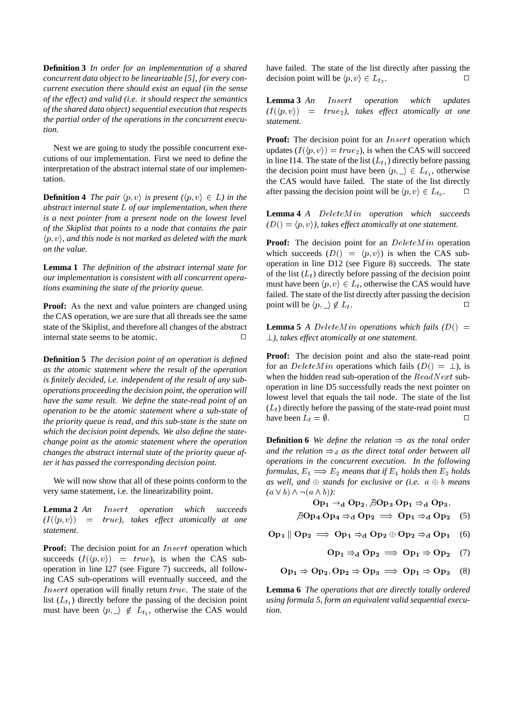**Definition 3** *In order for an implementation of a shared concurrent data object to be linearizable [5], for every concurrent execution there should exist an equal (in the sense of the effect) and valid (i.e. it should respect the semantics of the shared data object) sequential execution that respects the partial order of the operations in the concurrent execution.*

Next we are going to study the possible concurrent executions of our implementation. First we need to define the interpretation of the abstract internal state of our implementation.

**Definition 4** *The pair*  $\langle p, v \rangle$  *is present*  $(\langle p, v \rangle \in L)$  *in the abstract internal state* <sup>L</sup> *of our implementation, when there is a next pointer from a present node on the lowest level of the Skiplist that points to a node that contains the pair*  $\langle p, v \rangle$ , and this node is not marked as deleted with the mark *on the value.*

**Lemma 1** *The definition of the abstract internal state for our implementation is consistent with all concurrent operations examining the state of the priority queue.*

**Proof:** As the next and value pointers are changed using the CAS operation, we are sure that all threads see the same state of the Skiplist, and therefore all changes of the abstract internal state seems to be atomic.  $\Box$ 

**Definition 5** *The decision point of an operation is defined as the atomic statement where the result of the operation is finitely decided, i.e. independent of the result of any suboperations proceeding the decision point, the operation will have the same result. We define the state-read point of an operation to be the atomic statement where a sub-state of the priority queue is read, and this sub-state is the state on which the decision point depends. We also define the statechange point as the atomic statement where the operation changes the abstract internal state of the priority queue after it has passed the corresponding decision point.*

We will now show that all of these points conform to the very same statement, i.e. the linearizability point.

**Lemma 2** *An* Insert *operation which succeeds*  $(I(\langle p, v \rangle)) = true$ *), takes effect atomically at one statement.*

**Proof:** The decision point for an *Insert* operation which succeeds  $(I(\langle p, v \rangle) = true)$ , is when the CAS suboperation in line I27 (see Figure 7) succeeds, all following CAS sub-operations will eventually succeed, and the Insert operation will finally return true. The state of the list  $(L<sub>t1</sub>)$  directly before the passing of the decision point must have been  $\langle p, \_ \rangle \notin L_{t_1}$ , otherwise the CAS would have failed. The state of the list directly after passing the have failed. The state of the list directly after passing the decision point will be  $\langle p, v \rangle \in L_{t_2}$ .

**Lemma 3** *An* Insert *operation which updates*  $(I(\langle p,v \rangle)$  = true<sub>2</sub>), takes effect atomically at one *statement.*

**Proof:** The decision point for an *Insert* operation which updates  $(I({\langle p, v \rangle}) = true_2)$ , is when the CAS will succeed<br>in line I14. The state of the list  $(L_{t_1})$  directly before passing<br>the decision point must have been  $\langle p, \_\rangle \in L_{t_1}$ , otherwise in line I14. The state of the list  $(L_{t_1})$  directly before passing the CAS would have failed. The state of the list directly the decision point must have been  $\langle p, \_ \rangle \in L_{t_1}$ , otherwise<br>the CAS would have failed. The state of the list directly<br>after passing the decision point will be  $\langle p, v \rangle \in L_{t_3}$ .

**Lemma 4** *A* DeleteM in *operation which succeeds*  $(D() = \langle p, v \rangle)$ , takes effect atomically at one statement.

**Proof:** The decision point for an DeleteM in operation which succeeds  $(D() = \langle p, v \rangle)$  is when the CAS suboperation in line D12 (see Figure 8) succeeds. The state of the list  $(L_t)$  directly before passing of the decision point operation in line D12 (see Figure 8) succeeds. The state<br>of the list  $(L_t)$  directly before passing of the decision point<br>must have been  $\langle p, v \rangle \in L_t$ , otherwise the CAS would have failed. The state of the list directly after passing the decision must have been  $\langle p, v \rangle \in L_t$ , otherwise the CAS would have failed. The state of the list directly after passing the decision point will be  $\langle p, \_\rangle \notin L_t$ .

**Lemma 5** *A* DeleteM in operations which fails  $(D)$  = ?*), takes effect atomically at one statement.*

**Proof:** The decision point and also the state-read point for an *DeleteM* in operations which fails  $(D() = \bot)$ , is when the hidden read sub-operation of the  $ReadNext$  suboperation in line D5 successfully reads the next pointer on lowest level that equals the tail node. The state of the list  $(L_t)$  directly before the passing of the state-read point must have been  $L_t = \emptyset$ .

**Definition 6** *We define the relation*  $\Rightarrow$  *as the total order and the relation*  $\Rightarrow_d$  *as the direct total order between all operations in the concurrent execution. In the following formulas,*  $E_1 \implies E_2$  *means that if*  $E_1$  *holds then*  $E_2$  *holds* as well, and  $\oplus$  stands for exclusive or (i.e.  $a \oplus b$  means formulas,  $E_1 \Longrightarrow E_2$  means<br>as well, and  $\oplus$  stands for  $\alpha$ <br> $(a \vee b) \wedge \neg (a \wedge b))$ :  $\oplus$  stands for exclusive or (i.e.  $a \oplus b$  means<br>  $(\wedge b)$ ):<br>  $Op_1 \rightarrow_d Op_2$ ,  $\emptyset Op_3$ .  $Op_1 \Rightarrow_d Op_3$ ,

$$
\overline{Op_1 \rightarrow_d Op_2, \not\exists Op_3. Op_1 \Rightarrow_d Op_3,}
$$
  

$$
\overline{\beta}Op_4 \cdot Op_4 \Rightarrow_d Op_2 \implies Op_1 \Rightarrow_d Op_2 \quad (5)
$$

$$
\text{Op}_1\parallel \text{Op}_2\ \Longrightarrow\ \text{Op}_1\Rightarrow_d\text{Op}_2\oplus \text{Op}_2\Rightarrow_d\text{Op}_1\quad (6)
$$

$$
\mathrm{Op}_1 \Rightarrow_{\mathrm{d}} \mathrm{Op}_2 \implies \mathrm{Op}_1 \Rightarrow \mathrm{Op}_2 \quad (7)
$$

$$
\text{Op}_1 \Rightarrow \text{Op}_2, \text{Op}_2 \Rightarrow \text{Op}_3 \implies \text{Op}_1 \Rightarrow \text{Op}_3 \quad (8)
$$

**Lemma 6** *The operations that are directly totally ordered using formula 5, form an equivalent valid sequential execution.*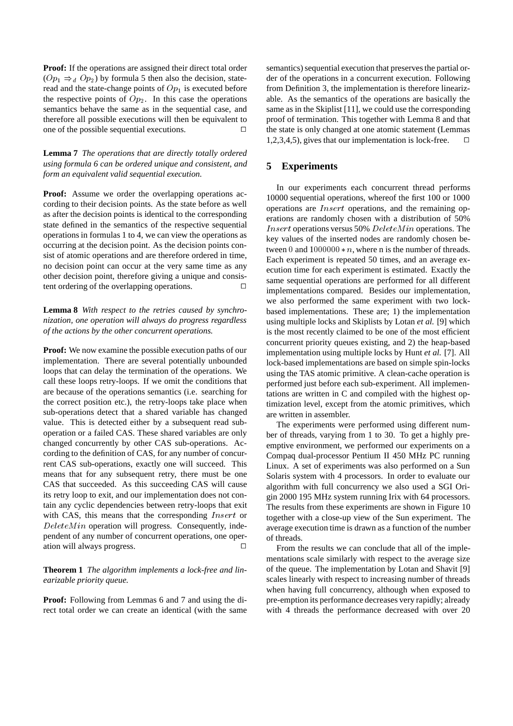**Proof:** If the operations are assigned their direct total order  $(Dp_1 \Rightarrow_d Dp_2)$  by formula 5 then also the decision, stateread and the state-change points of  $Op<sub>1</sub>$  is executed before the respective points of  $Op<sub>2</sub>$ . In this case the operations semantics behave the same as in the sequential case, and therefore all possible executions will then be equivalent to one of the possible sequential executions.  $\Box$ 

**Lemma 7** *The operations that are directly totally ordered using formula 6 can be ordered unique and consistent, and form an equivalent valid sequential execution.*

**Proof:** Assume we order the overlapping operations according to their decision points. As the state before as well as after the decision points is identical to the corresponding state defined in the semantics of the respective sequential operations in formulas 1 to 4, we can view the operations as occurring at the decision point. As the decision points consist of atomic operations and are therefore ordered in time, no decision point can occur at the very same time as any other decision point, therefore giving a unique and consistent ordering of the overlapping operations.  $\Box$ 

**Lemma 8** *With respect to the retries caused by synchronization, one operation will always do progress regardless of the actions by the other concurrent operations.*

**Proof:** We now examine the possible execution paths of our implementation. There are several potentially unbounded loops that can delay the termination of the operations. We call these loops retry-loops. If we omit the conditions that are because of the operations semantics (i.e. searching for the correct position etc.), the retry-loops take place when sub-operations detect that a shared variable has changed value. This is detected either by a subsequent read suboperation or a failed CAS. These shared variables are only changed concurrently by other CAS sub-operations. According to the definition of CAS, for any number of concurrent CAS sub-operations, exactly one will succeed. This means that for any subsequent retry, there must be one CAS that succeeded. As this succeeding CAS will cause its retry loop to exit, and our implementation does not contain any cyclic dependencies between retry-loops that exit with CAS, this means that the corresponding *Insert* or  $DeleteMin$  operation will progress. Consequently, independent of any number of concurrent operations, one operation will always progress.  $\Box$ 

### **Theorem 1** *The algorithm implements a lock-free and linearizable priority queue.*

**Proof:** Following from Lemmas 6 and 7 and using the direct total order we can create an identical (with the same semantics) sequential execution that preserves the partial order of the operations in a concurrent execution. Following from Definition 3, the implementation is therefore linearizable. As the semantics of the operations are basically the same as in the Skiplist [11], we could use the corresponding proof of termination. This together with Lemma 8 and that the state is only changed at one atomic statement (Lemmas 1,2,3,4,5), gives that our implementation is lock-free. <sup>2</sup>

## **5 Experiments**

In our experiments each concurrent thread performs 10000 sequential operations, whereof the first 100 or 1000 operations are Insert operations, and the remaining operations are randomly chosen with a distribution of 50% Insert operations versus 50% DeleteM in operations. The key values of the inserted nodes are randomly chosen between 0 and  $1000000 * n$ , where n is the number of threads. Each experiment is repeated 50 times, and an average execution time for each experiment is estimated. Exactly the same sequential operations are performed for all different implementations compared. Besides our implementation, we also performed the same experiment with two lockbased implementations. These are; 1) the implementation using multiple locks and Skiplists by Lotan *et al.* [9] which is the most recently claimed to be one of the most efficient concurrent priority queues existing, and 2) the heap-based implementation using multiple locks by Hunt *et al.* [7]. All lock-based implementations are based on simple spin-locks using the TAS atomic primitive. A clean-cache operation is performed just before each sub-experiment. All implementations are written in C and compiled with the highest optimization level, except from the atomic primitives, which are written in assembler.

The experiments were performed using different number of threads, varying from 1 to 30. To get a highly preemptive environment, we performed our experiments on a Compaq dual-processor Pentium II 450 MHz PC running Linux. A set of experiments was also performed on a Sun Solaris system with 4 processors. In order to evaluate our algorithm with full concurrency we also used a SGI Origin 2000 195 MHz system running Irix with 64 processors. The results from these experiments are shown in Figure 10 together with a close-up view of the Sun experiment. The average execution time is drawn as a function of the number of threads.

From the results we can conclude that all of the implementations scale similarly with respect to the average size of the queue. The implementation by Lotan and Shavit [9] scales linearly with respect to increasing number of threads when having full concurrency, although when exposed to pre-emption its performance decreases very rapidly; already with 4 threads the performance decreased with over 20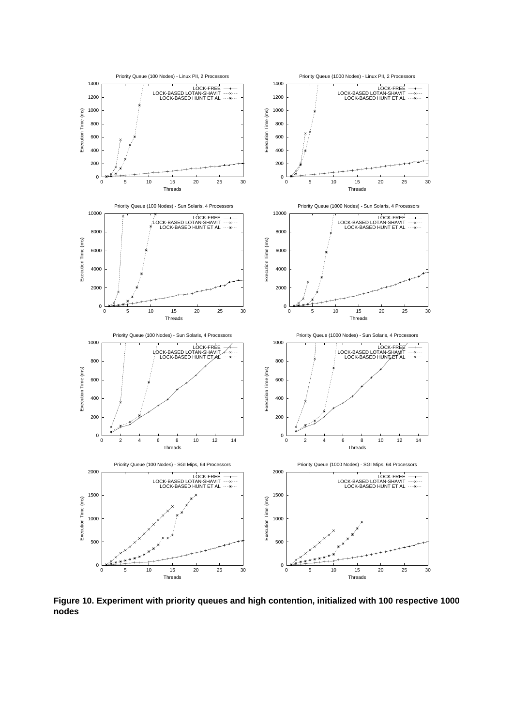

**Figure 10. Experiment with priority queues and high contention, initialized with 100 respective 1000 nodes**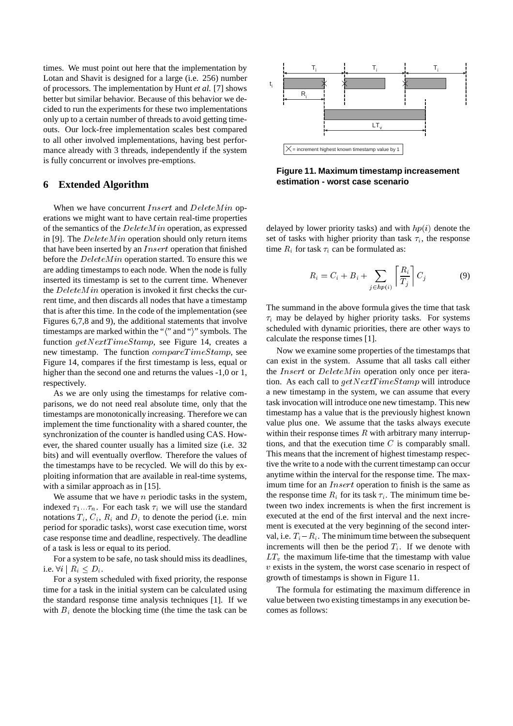times. We must point out here that the implementation by Lotan and Shavit is designed for a large (i.e. 256) number of processors. The implementation by Hunt *et al.* [7] shows better but similar behavior. Because of this behavior we decided to run the experiments for these two implementations only up to a certain number of threads to avoid getting timeouts. Our lock-free implementation scales best compared to all other involved implementations, having best performance already with 3 threads, independently if the system is fully concurrent or involves pre-emptions.

## **6 Extended Algorithm**

When we have concurrent  $Insert$  and  $DeleteMin$  operations we might want to have certain real-time properties of the semantics of the DeleteM in operation, as expressed in [9]. The  $DeleteMin$  operation should only return items that have been inserted by an Insert operation that finished before the  $DeleteMin$  operation started. To ensure this we are adding timestamps to each node. When the node is fully inserted its timestamp is set to the current time. Whenever the  $DeleteMin$  operation is invoked it first checks the current time, and then discards all nodes that have a timestamp that is after this time. In the code of the implementation (see Figures 6,7,8 and 9), the additional statements that involve timestamps are marked within the " $\langle$ " and " $\rangle$ " symbols. The function  $getNextTimeStamp$ , see Figure 14, creates a new timestamp. The function  $compare TimeStamp$ , see Figure 14, compares if the first timestamp is less, equal or higher than the second one and returns the values  $-1,0$  or 1, respectively.

As we are only using the timestamps for relative comparisons, we do not need real absolute time, only that the timestamps are monotonically increasing. Therefore we can implement the time functionality with a shared counter, the synchronization of the counter is handled using CAS. However, the shared counter usually has a limited size (i.e. 32 bits) and will eventually overflow. Therefore the values of the timestamps have to be recycled. We will do this by exploiting information that are available in real-time systems, with a similar approach as in [15].

We assume that we have  $n$  periodic tasks in the system, indexed  $\tau_1 \dots \tau_n$ . For each task  $\tau_i$  we will use the standard notations  $T_i$ ,  $C_i$ ,  $R_i$  and  $D_i$  to denote the period (i.e. min period for sporadic tasks), worst case execution time, worst case response time and deadline, respectively. The deadline of a task is less or equal to its period.

For a system to be safe, no task should miss its deadlines, i.e.  $\forall i \mid R_i \leq D_i$ .

For a system scheduled with fixed priority, the response time for a task in the initial system can be calculated using the standard response time analysis techniques [1]. If we with  $B_i$  denote the blocking time (the time the task can be



**Figure 11. Maximum timestamp increasement estimation - worst case scenario**

delayed by lower priority tasks) and with  $hp(i)$  denote the set of tasks with higher priority than task  $\tau_i$ , the response time  $R_i$  for task  $\tau_i$  can be formulated as:

$$
R_i = C_i + B_i + \sum_{j \in hp(i)} \left[ \frac{R_i}{T_j} \right] C_j \tag{9}
$$

The summand in the above formula gives the time that task  $\tau_i$  may be delayed by higher priority tasks. For systems scheduled with dynamic priorities, there are other ways to calculate the response times [1].

Now we examine some properties of the timestamps that can exist in the system. Assume that all tasks call either the *Insert* or *DeleteMin* operation only once per iteration. As each call to  $getNextTimeStamp$  will introduce a new timestamp in the system, we can assume that every task invocation will introduce one new timestamp. This new timestamp has a value that is the previously highest known value plus one. We assume that the tasks always execute within their response times  $R$  with arbitrary many interruptions, and that the execution time  $C$  is comparably small. This means that the increment of highest timestamp respective the write to a node with the current timestamp can occur anytime within the interval for the response time. The maximum time for an *Insert* operation to finish is the same as the response time  $R_i$  for its task  $\tau_i$ . The minimum time between two index increments is when the first increment is executed at the end of the first interval and the next increment is executed at the very beginning of the second interval, i.e.  $T_i - R_i$ . The minimum time between the subsequent increments will then be the period  $T_i$ . If we denote with  $LT<sub>v</sub>$  the maximum life-time that the timestamp with value  $v$  exists in the system, the worst case scenario in respect of growth of timestamps is shown in Figure 11.

The formula for estimating the maximum difference in value between two existing timestamps in any execution becomes as follows: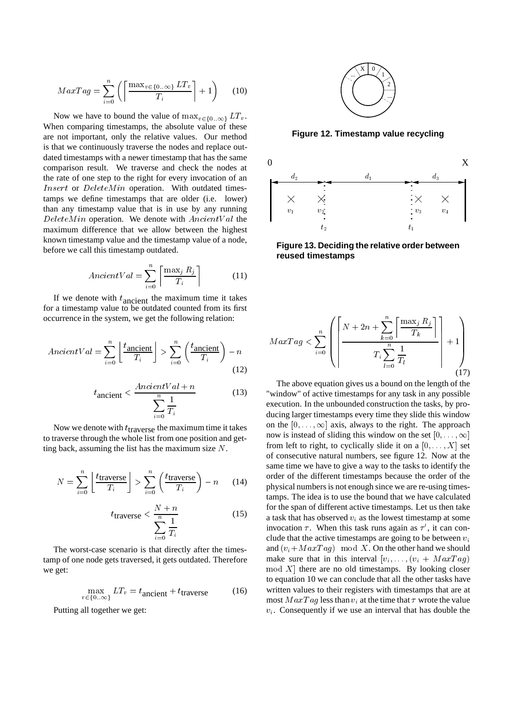$$
MaxTag = \sum_{i=0}^{n} \left( \left\lceil \frac{\max_{v \in \{0...\infty\}} LT_{v}}{T_{i}} \right\rceil + 1 \right) \tag{10}
$$

Now we have to bound the value of  $\max_{v \in \{0...\infty\}} LT_v$ . When comparing timestamps, the absolute value of these are not important, only the relative values. Our method is that we continuously traverse the nodes and replace outdated timestamps with a newer timestamp that has the same comparison result. We traverse and check the nodes at the rate of one step to the right for every invocation of an Insert or DeleteM in operation. With outdated timestamps we define timestamps that are older (i.e. lower) than any timestamp value that is in use by any running  $DeleteMin$  operation. We denote with  $AncientVal$  the maximum difference that we allow between the highest known timestamp value and the timestamp value of a node, before we call this timestamp outdated.

$$
AncientVal = \sum_{i=0}^{n} \left\lceil \frac{\max_j R_j}{T_i} \right\rceil \tag{11}
$$

If we denote with  $t_{\text{ancient}}$  the maximum time it takes for a timestamp value to be outdated counted from its first occurrence in the system, we get the following relation:

$$
AncientVal = \sum_{i=0}^{n} \left\lfloor \frac{t_{\text{ancient}}}{T_i} \right\rfloor > \sum_{i=0}^{n} \left( \frac{t_{\text{ancient}}}{T_i} \right) - n
$$
\n(12)

$$
t_{\text{ancient}} < \frac{AncientVal + n}{\sum_{i=0}^{n} \frac{1}{T_i}} \tag{13}
$$

Now we denote with  $t_{\rm traverse}$  the maximum time it takes to traverse through the whole list from one position and getting back, assuming the list has the maximum size  $N$ .

$$
N = \sum_{i=0}^{n} \left\lfloor \frac{t_{\text{traverse}}}{T_i} \right\rfloor > \sum_{i=0}^{n} \left( \frac{t_{\text{traverse}}}{T_i} \right) - n \tag{14}
$$

$$
t_{\text{traverse}} < \frac{N+n}{\sum_{i=0}^{n} \frac{1}{T_i}}\tag{15}
$$

The worst-case scenario is that directly after the timestamp of one node gets traversed, it gets outdated. Therefore we get:

$$
\max_{v \in \{0...\infty\}} LT_v = t_{\text{ancient}} + t_{\text{traverse}} \tag{16}
$$

Putting all together we get:



**Figure 12. Timestamp value recycling**



**Figure 13. Deciding the relative order between reused timestamps**

$$
MaxTag < \sum_{i=0}^{n} \left( \left\lceil \frac{N+2n+\sum_{k=0}^{n} \left\lceil \frac{\max_{j} R_{j}}{T_{k}} \right\rceil}{T_{i} \sum_{l=0}^{n} \frac{1}{T_{l}}} \right\rceil + 1 \right) \tag{17}
$$

The above equation gives us a bound on the length of the "window" of active timestamps for any task in any possible execution. In the unbounded construction the tasks, by producing larger timestamps every time they slide this window on the  $[0, \ldots, \infty]$  axis, always to the right. The approach now is instead of sliding this window on the set  $[0,\ldots,\infty]$ from left to right, to cyclically slide it on a  $[0,\ldots,X]$  set of consecutive natural numbers, see figure 12. Now at the same time we have to give a way to the tasks to identify the order of the different timestamps because the order of the physical numbers is not enough since we are re-using timestamps. The idea is to use the bound that we have calculated for the span of different active timestamps. Let us then take a task that has observed  $v_i$  as the lowest timestamp at some invocation  $\tau$ . When this task runs again as  $\tau'$ , it can conclude that the active timestamps are going to be between  $v_i$ and  $(v_i+MaxTag) \mod X$ . On the other hand we should make sure that in this interval  $[v_i, \ldots, (v_i + MaxTag)]$  $\text{mod } X$  there are no old timestamps. By looking closer to equation 10 we can conclude that all the other tasks have written values to their registers with timestamps that are at most  $MaxTag$  less than  $v_i$  at the time that  $\tau$  wrote the value  $v_i$ . Consequently if we use an interval that has double the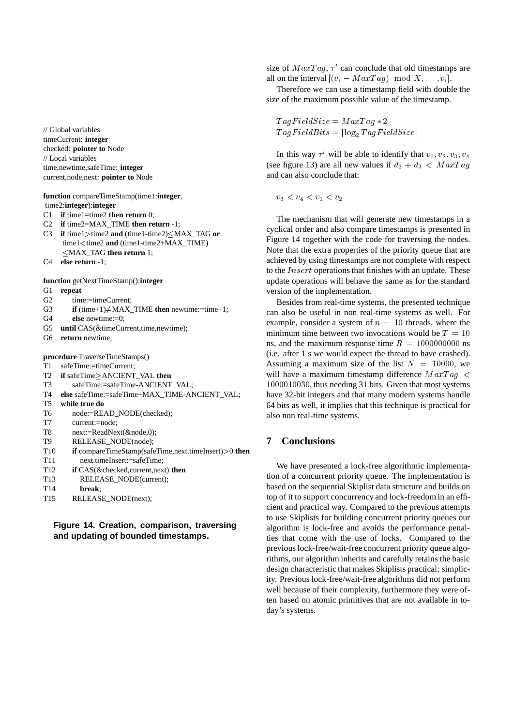// Global variables timeCurrent: **integer** checked: **pointer to** Node // Local variables time,newtime,safeTime: **integer** current,node,next: **pointer to** Node

**function** compareTimeStamp(time1:**integer**, time2:**integer**):**integer**

- C1 **if** time1=time2 **then return** 0;
- C2 **if** time2=MAX\_TIME **then return** -1;
- C3 **if** time1>time2 **and** (time1-time2) $\leq$ MAX\_TAG **or** time1<time2 **and** (time1-time2+MAX\_TIME) MAX\_TAG **then return** 1;
- C4 **else return** -1;

**function** getNextTimeStamp():**integer**

- G1 **repeat**
- G2 time:=timeCurrent;
- G3 **if**  $(time+1) \neq MAX$  TIME **then** newtime:=time+1;
- G4 **else** newtime:=0;
- G5 **until** CAS(&timeCurrent,time,newtime);
- G6 **return** newtime;

**procedure** TraverseTimeStamps()

- T1 safeTime:=timeCurrent;
- T2 **if** safeTime>ANCIENT\_VAL **then**
- T3 safeTime:=safeTime-ANCIENT\_VAL;
- T4 **else** safeTime:=safeTime+MAX\_TIME-ANCIENT\_VAL;
- T5 **while true do**
- T6 node:=READ\_NODE(checked);
- T7 current:=node;
- T8 next:=ReadNext(&node,0);
- T9 RELEASE\_NODE(node);
- T10 **if** compareTimeStamp(safeTime,next.timeInsert)>0 **then**
- T11 next.timeInsert:=safeTime;
- T12 **if** CAS(&checked,current,next) **then**
- T13 RELEASE\_NODE(current);
- T14 **break**;
- T15 RELEASE\_NODE(next);

## **Figure 14. Creation, comparison, traversing and updating of bounded timestamps.**

size of  $MaxTag, \tau'$  can conclude that old timestamps are all on the interval  $[(v_i - MaxTag) \mod X, \ldots, v_i]$ .

Therefore we can use a timestamp field with double the size of the maximum possible value of the timestamp.

 $TagFieldsize = MaxTag * 2$  $TagFieldBits = [log, TagFieldSize]$ 

In this way  $\tau'$  will be able to identify that  $v_1, v_2, v_3, v_4$ (see figure 13) are all new values if  $d_2 + d_3 < MaxTag$ and can also conclude that:

 $v_3 < v_4 < v_1 < v_2$ 

The mechanism that will generate new timestamps in a cyclical order and also compare timestamps is presented in Figure 14 together with the code for traversing the nodes. Note that the extra properties of the priority queue that are achieved by using timestamps are not complete with respect to the Insert operations that finishes with an update. These update operations will behave the same as for the standard version of the implementation.

Besides from real-time systems, the presented technique can also be useful in non real-time systems as well. For example, consider a system of  $n = 10$  threads, where the minimum time between two invocations would be  $T = 10$ ns, and the maximum response time  $R = 1000000000$  ns (i.e. after 1 s we would expect the thread to have crashed). Assuming a maximum size of the list  $N = 10000$ , we will have a maximum timestamp difference  $MaxTag <$ <sup>1000010030</sup>, thus needing 31 bits. Given that most systems have 32-bit integers and that many modern systems handle 64 bits as well, it implies that this technique is practical for also non real-time systems.

## **7 Conclusions**

We have presented a lock-free algorithmic implementation of a concurrent priority queue. The implementation is based on the sequential Skiplist data structure and builds on top of it to support concurrency and lock-freedom in an efficient and practical way. Compared to the previous attempts to use Skiplists for building concurrent priority queues our algorithm is lock-free and avoids the performance penalties that come with the use of locks. Compared to the previous lock-free/wait-free concurrent priority queue algorithms, our algorithm inherits and carefully retains the basic design characteristic that makes Skiplists practical: simplicity. Previous lock-free/wait-free algorithms did not perform well because of their complexity, furthermore they were often based on atomic primitives that are not available in today's systems.